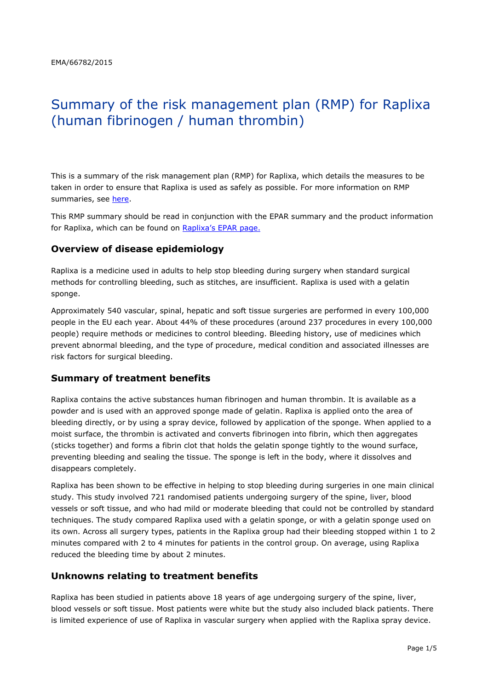# Summary of the risk management plan (RMP) for Raplixa (human fibrinogen / human thrombin)

This is a summary of the risk management plan (RMP) for Raplixa, which details the measures to be taken in order to ensure that Raplixa is used as safely as possible. For more information on RMP summaries, see [here.](http://www.ema.europa.eu/docs/en_GB/document_library/Other/2014/05/WC500166101.pdf)

This RMP summary should be read in conjunction with the EPAR summary and the product information for Raplixa, which can be found on Raplixa['s EPAR page.](http://www.ema.europa.eu/ema/index.jsp?curl=/pages/medicines/human/medicines/002807/human_med_001854.jsp)

## **Overview of disease epidemiology**

Raplixa is a medicine used in adults to help stop bleeding during surgery when standard surgical methods for controlling bleeding, such as stitches, are insufficient. Raplixa is used with a gelatin sponge.

Approximately 540 vascular, spinal, hepatic and soft tissue surgeries are performed in every 100,000 people in the EU each year. About 44% of these procedures (around 237 procedures in every 100,000 people) require methods or medicines to control bleeding. Bleeding history, use of medicines which prevent abnormal bleeding, and the type of procedure, medical condition and associated illnesses are risk factors for surgical bleeding.

#### **Summary of treatment benefits**

Raplixa contains the active substances human fibrinogen and human thrombin. It is available as a powder and is used with an approved sponge made of gelatin. Raplixa is applied onto the area of bleeding directly, or by using a spray device, followed by application of the sponge. When applied to a moist surface, the thrombin is activated and converts fibrinogen into fibrin, which then aggregates (sticks together) and forms a fibrin clot that holds the gelatin sponge tightly to the wound surface, preventing bleeding and sealing the tissue. The sponge is left in the body, where it dissolves and disappears completely.

Raplixa has been shown to be effective in helping to stop bleeding during surgeries in one main clinical study. This study involved 721 randomised patients undergoing surgery of the spine, liver, blood vessels or soft tissue, and who had mild or moderate bleeding that could not be controlled by standard techniques. The study compared Raplixa used with a gelatin sponge, or with a gelatin sponge used on its own. Across all surgery types, patients in the Raplixa group had their bleeding stopped within 1 to 2 minutes compared with 2 to 4 minutes for patients in the control group. On average, using Raplixa reduced the bleeding time by about 2 minutes.

## **Unknowns relating to treatment benefits**

Raplixa has been studied in patients above 18 years of age undergoing surgery of the spine, liver, blood vessels or soft tissue. Most patients were white but the study also included black patients. There is limited experience of use of Raplixa in vascular surgery when applied with the Raplixa spray device.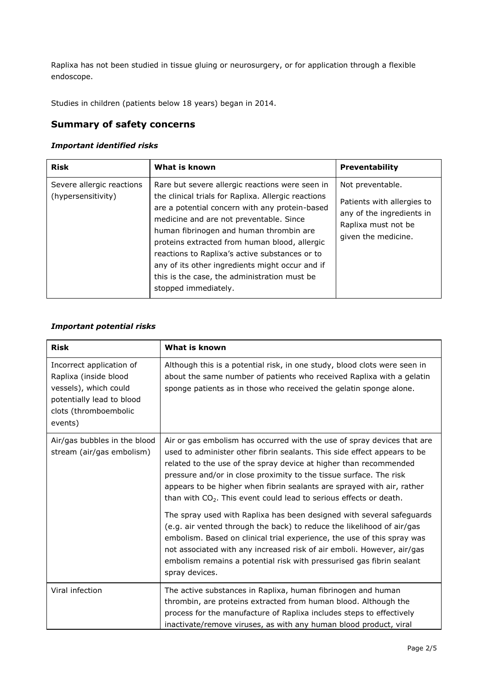Raplixa has not been studied in tissue gluing or neurosurgery, or for application through a flexible endoscope.

Studies in children (patients below 18 years) began in 2014.

## **Summary of safety concerns**

#### *Important identified risks*

| <b>Risk</b>                                     | What is known                                                                                                                                                                                                                                                                                                                                                                                                                                                                | <b>Preventability</b>                                                                                                     |
|-------------------------------------------------|------------------------------------------------------------------------------------------------------------------------------------------------------------------------------------------------------------------------------------------------------------------------------------------------------------------------------------------------------------------------------------------------------------------------------------------------------------------------------|---------------------------------------------------------------------------------------------------------------------------|
| Severe allergic reactions<br>(hypersensitivity) | Rare but severe allergic reactions were seen in<br>the clinical trials for Raplixa. Allergic reactions<br>are a potential concern with any protein-based<br>medicine and are not preventable. Since<br>human fibrinogen and human thrombin are<br>proteins extracted from human blood, allergic<br>reactions to Raplixa's active substances or to<br>any of its other ingredients might occur and if<br>this is the case, the administration must be<br>stopped immediately. | Not preventable.<br>Patients with allergies to<br>any of the ingredients in<br>Raplixa must not be<br>given the medicine. |

#### *Important potential risks*

| <b>Risk</b>                                                                                                                                 | What is known                                                                                                                                                                                                                                                                                                                                                                                                                                    |
|---------------------------------------------------------------------------------------------------------------------------------------------|--------------------------------------------------------------------------------------------------------------------------------------------------------------------------------------------------------------------------------------------------------------------------------------------------------------------------------------------------------------------------------------------------------------------------------------------------|
| Incorrect application of<br>Raplixa (inside blood<br>vessels), which could<br>potentially lead to blood<br>clots (thromboembolic<br>events) | Although this is a potential risk, in one study, blood clots were seen in<br>about the same number of patients who received Raplixa with a gelatin<br>sponge patients as in those who received the gelatin sponge alone.                                                                                                                                                                                                                         |
| Air/gas bubbles in the blood<br>stream (air/gas embolism)                                                                                   | Air or gas embolism has occurred with the use of spray devices that are<br>used to administer other fibrin sealants. This side effect appears to be<br>related to the use of the spray device at higher than recommended<br>pressure and/or in close proximity to the tissue surface. The risk<br>appears to be higher when fibrin sealants are sprayed with air, rather<br>than with $CO2$ . This event could lead to serious effects or death. |
|                                                                                                                                             | The spray used with Raplixa has been designed with several safeguards<br>(e.g. air vented through the back) to reduce the likelihood of air/gas<br>embolism. Based on clinical trial experience, the use of this spray was<br>not associated with any increased risk of air emboli. However, air/gas<br>embolism remains a potential risk with pressurised gas fibrin sealant<br>spray devices.                                                  |
| Viral infection                                                                                                                             | The active substances in Raplixa, human fibrinogen and human<br>thrombin, are proteins extracted from human blood. Although the<br>process for the manufacture of Raplixa includes steps to effectively<br>inactivate/remove viruses, as with any human blood product, viral                                                                                                                                                                     |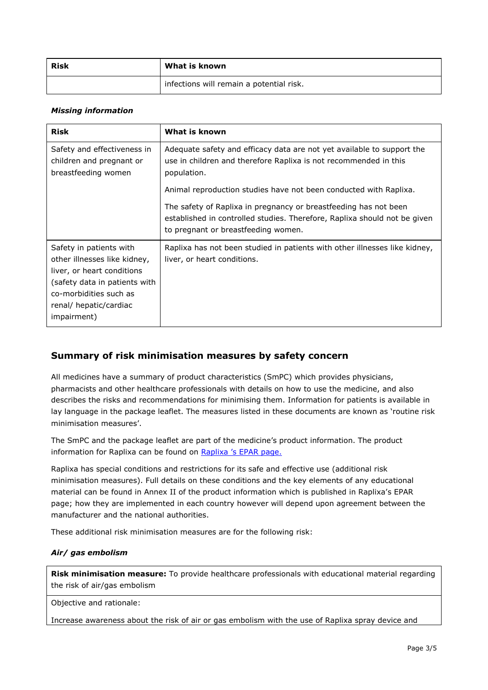| Risk | What is known                            |  |
|------|------------------------------------------|--|
|      | infections will remain a potential risk. |  |

#### *Missing information*

| <b>Risk</b>                                                                                                                                                                               | What is known                                                                                                                                                                        |  |
|-------------------------------------------------------------------------------------------------------------------------------------------------------------------------------------------|--------------------------------------------------------------------------------------------------------------------------------------------------------------------------------------|--|
| Safety and effectiveness in<br>children and pregnant or<br>breastfeeding women                                                                                                            | Adequate safety and efficacy data are not yet available to support the<br>use in children and therefore Raplixa is not recommended in this<br>population.                            |  |
|                                                                                                                                                                                           | Animal reproduction studies have not been conducted with Raplixa.                                                                                                                    |  |
|                                                                                                                                                                                           | The safety of Raplixa in pregnancy or breastfeeding has not been<br>established in controlled studies. Therefore, Raplixa should not be given<br>to pregnant or breastfeeding women. |  |
| Safety in patients with<br>other illnesses like kidney,<br>liver, or heart conditions<br>(safety data in patients with<br>co-morbidities such as<br>renal/ hepatic/cardiac<br>impairment) | Raplixa has not been studied in patients with other illnesses like kidney,<br>liver, or heart conditions.                                                                            |  |

## **Summary of risk minimisation measures by safety concern**

All medicines have a summary of product characteristics (SmPC) which provides physicians, pharmacists and other healthcare professionals with details on how to use the medicine, and also describes the risks and recommendations for minimising them. Information for patients is available in lay language in the package leaflet. The measures listed in these documents are known as 'routine risk minimisation measures'.

The SmPC and the package leaflet are part of the medicine's product information. The product information for Raplixa can be found on Raplixa ['s EPAR page](http://www.ema.europa.eu/ema/index.jsp?curl=/pages/medicines/human/medicines/002807/human_med_001854.jsp).

Raplixa has special conditions and restrictions for its safe and effective use (additional risk minimisation measures). Full details on these conditions and the key elements of any educational material can be found in Annex II of the product information which is published in Raplixa's EPAR page; how they are implemented in each country however will depend upon agreement between the manufacturer and the national authorities.

These additional risk minimisation measures are for the following risk:

#### *Air/ gas embolism*

**Risk minimisation measure:** To provide healthcare professionals with educational material regarding the risk of air/gas embolism

Objective and rationale:

Increase awareness about the risk of air or gas embolism with the use of Raplixa spray device and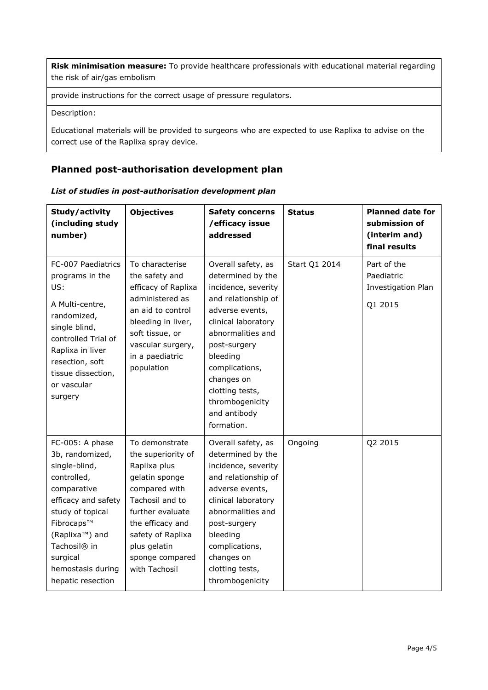**Risk minimisation measure:** To provide healthcare professionals with educational material regarding the risk of air/gas embolism

provide instructions for the correct usage of pressure regulators.

Description:

Educational materials will be provided to surgeons who are expected to use Raplixa to advise on the correct use of the Raplixa spray device.

# **Planned post-authorisation development plan**

|  |  | List of studies in post-authorisation development plan |  |
|--|--|--------------------------------------------------------|--|
|--|--|--------------------------------------------------------|--|

| Study/activity<br>(including study<br>number)                                                                                                                                                                                                               | <b>Objectives</b>                                                                                                                                                                                                           | <b>Safety concerns</b><br>/efficacy issue<br>addressed                                                                                                                                                                                                                               | <b>Status</b> | <b>Planned date for</b><br>submission of<br>(interim and)<br>final results |
|-------------------------------------------------------------------------------------------------------------------------------------------------------------------------------------------------------------------------------------------------------------|-----------------------------------------------------------------------------------------------------------------------------------------------------------------------------------------------------------------------------|--------------------------------------------------------------------------------------------------------------------------------------------------------------------------------------------------------------------------------------------------------------------------------------|---------------|----------------------------------------------------------------------------|
| FC-007 Paediatrics<br>programs in the<br>US:<br>A Multi-centre,<br>randomized,<br>single blind,<br>controlled Trial of<br>Raplixa in liver<br>resection, soft<br>tissue dissection,<br>or vascular<br>surgery                                               | To characterise<br>the safety and<br>efficacy of Raplixa<br>administered as<br>an aid to control<br>bleeding in liver,<br>soft tissue, or<br>vascular surgery,<br>in a paediatric<br>population                             | Overall safety, as<br>determined by the<br>incidence, severity<br>and relationship of<br>adverse events,<br>clinical laboratory<br>abnormalities and<br>post-surgery<br>bleeding<br>complications,<br>changes on<br>clotting tests,<br>thrombogenicity<br>and antibody<br>formation. | Start Q1 2014 | Part of the<br>Paediatric<br>Investigation Plan<br>Q1 2015                 |
| FC-005: A phase<br>3b, randomized,<br>single-blind,<br>controlled,<br>comparative<br>efficacy and safety<br>study of topical<br>Fibrocaps™<br>(Raplixa <sup>™</sup> ) and<br>Tachosil <sup>®</sup> in<br>surgical<br>hemostasis during<br>hepatic resection | To demonstrate<br>the superiority of<br>Raplixa plus<br>gelatin sponge<br>compared with<br>Tachosil and to<br>further evaluate<br>the efficacy and<br>safety of Raplixa<br>plus gelatin<br>sponge compared<br>with Tachosil | Overall safety, as<br>determined by the<br>incidence, severity<br>and relationship of<br>adverse events,<br>clinical laboratory<br>abnormalities and<br>post-surgery<br>bleeding<br>complications,<br>changes on<br>clotting tests,<br>thrombogenicity                               | Ongoing       | Q2 2015                                                                    |